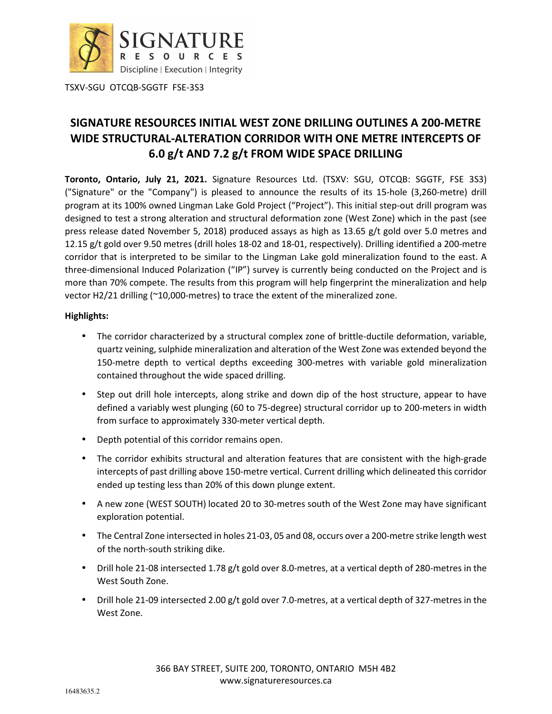

# **SIGNATURE RESOURCES INITIAL WEST ZONE DRILLING OUTLINES A 200-METRE WIDE STRUCTURAL-ALTERATION CORRIDOR WITH ONE METRE INTERCEPTS OF 6.0 g/t AND 7.2 g/t FROM WIDE SPACE DRILLING**

**Toronto, Ontario, July 21, 2021.** Signature Resources Ltd. (TSXV: SGU, OTCQB: SGGTF, FSE 3S3) ("Signature" or the "Company") is pleased to announce the results of its 15-hole (3,260-metre) drill program at its 100% owned Lingman Lake Gold Project ("Project"). This initial step-out drill program was designed to test a strong alteration and structural deformation zone (West Zone) which in the past (see press release dated November 5, 2018) produced assays as high as 13.65 g/t gold over 5.0 metres and 12.15 g/t gold over 9.50 metres (drill holes 18-02 and 18-01, respectively). Drilling identified a 200-metre corridor that is interpreted to be similar to the Lingman Lake gold mineralization found to the east. A three-dimensional Induced Polarization ("IP") survey is currently being conducted on the Project and is more than 70% compete. The results from this program will help fingerprint the mineralization and help vector H2/21 drilling (~10,000-metres) to trace the extent of the mineralized zone.

#### **Highlights:**

- The corridor characterized by a structural complex zone of brittle-ductile deformation, variable, quartz veining, sulphide mineralization and alteration of the West Zone was extended beyond the 150-metre depth to vertical depths exceeding 300-metres with variable gold mineralization contained throughout the wide spaced drilling.
- Step out drill hole intercepts, along strike and down dip of the host structure, appear to have defined a variably west plunging (60 to 75-degree) structural corridor up to 200-meters in width from surface to approximately 330-meter vertical depth.
- Depth potential of this corridor remains open.
- The corridor exhibits structural and alteration features that are consistent with the high-grade intercepts of past drilling above 150-metre vertical. Current drilling which delineated this corridor ended up testing less than 20% of this down plunge extent.
- A new zone (WEST SOUTH) located 20 to 30-metres south of the West Zone may have significant exploration potential.
- The Central Zone intersected in holes 21-03, 05 and 08, occurs over a 200-metre strike length west of the north-south striking dike.
- Drill hole 21-08 intersected 1.78 g/t gold over 8.0-metres, at a vertical depth of 280-metres in the West South Zone.
- Drill hole 21-09 intersected 2.00 g/t gold over 7.0-metres, at a vertical depth of 327-metres in the West Zone.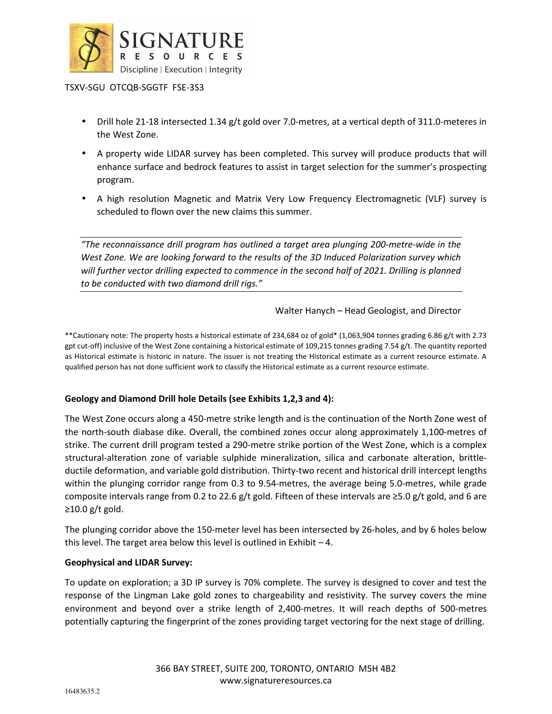

- Drill hole 21-18 intersected 1.34 g/t gold over 7.0-metres, at a vertical depth of 311.0-meteres in the West Zone.
- A property wide LIDAR survey has been completed. This survey will produce products that will enhance surface and bedrock features to assist in target selection for the summer's prospecting program.
- A high resolution Magnetic and Matrix Very Low Frequency Electromagnetic (VLF) survey is scheduled to flown over the new claims this summer.

*"The reconnaissance drill program has outlined a target area plunging 200-metre-wide in the West Zone. We are looking forward to the results of the 3D Induced Polarization survey which*  will further vector drilling expected to commence in the second half of 2021. Drilling is planned *to be conducted with two diamond drill rigs."* 

Walter Hanych – Head Geologist, and Director

\*\*Cautionary note: The property hosts a historical estimate of 234,684 oz of gold\* (1,063,904 tonnes grading 6.86 g/t with 2.73 gpt cut-off) inclusive of the West Zone containing a historical estimate of 109,215 tonnes grading 7.54 g/t. The quantity reported as Historical estimate is historic in nature. The issuer is not treating the Historical estimate as a current resource estimate. A qualified person has not done sufficient work to classify the Historical estimate as a current resource estimate.

#### **Geology and Diamond Drill hole Details (see Exhibits 1,2,3 and 4):**

The West Zone occurs along a 450-metre strike length and is the continuation of the North Zone west of the north-south diabase dike. Overall, the combined zones occur along approximately 1,100-metres of strike. The current drill program tested a 290-metre strike portion of the West Zone, which is a complex structural-alteration zone of variable sulphide mineralization, silica and carbonate alteration, brittleductile deformation, and variable gold distribution. Thirty-two recent and historical drill intercept lengths within the plunging corridor range from 0.3 to 9.54-metres, the average being 5.0-metres, while grade composite intervals range from 0.2 to 22.6 g/t gold. Fifteen of these intervals are ≥5.0 g/t gold, and 6 are  $≥10.0 g/t$  gold.

The plunging corridor above the 150-meter level has been intersected by 26-holes, and by 6 holes below this level. The target area below this level is outlined in Exhibit – 4.

#### **Geophysical and LIDAR Survey:**

To update on exploration; a 3D IP survey is 70% complete. The survey is designed to cover and test the response of the Lingman Lake gold zones to chargeability and resistivity. The survey covers the mine environment and beyond over a strike length of 2,400-metres. It will reach depths of 500-metres potentially capturing the fingerprint of the zones providing target vectoring for the next stage of drilling.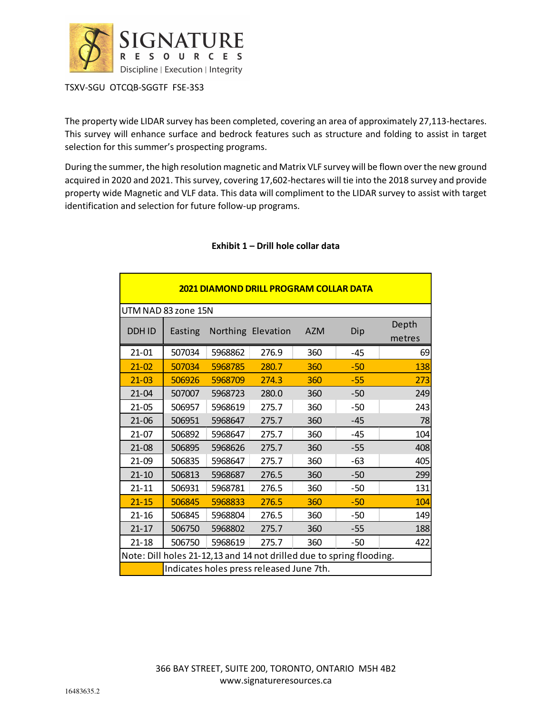

The property wide LIDAR survey has been completed, covering an area of approximately 27,113-hectares. This survey will enhance surface and bedrock features such as structure and folding to assist in target selection for this summer's prospecting programs.

During the summer, the high resolution magnetic and Matrix VLF survey will be flown over the new ground acquired in 2020 and 2021. This survey, covering 17,602-hectares will tie into the 2018 survey and provide property wide Magnetic and VLF data. This data will compliment to the LIDAR survey to assist with target identification and selection for future follow-up programs.

| <b>2021 DIAMOND DRILL PROGRAM COLLAR DATA</b>                        |         |         |                    |            |       |                 |  |  |  |  |  |
|----------------------------------------------------------------------|---------|---------|--------------------|------------|-------|-----------------|--|--|--|--|--|
| UTM NAD 83 zone 15N                                                  |         |         |                    |            |       |                 |  |  |  |  |  |
| <b>DDHID</b>                                                         | Easting |         | Northing Elevation | <b>AZM</b> | Dip   | Depth<br>metres |  |  |  |  |  |
| $21 - 01$                                                            | 507034  | 5968862 | 276.9              | 360        | $-45$ | 69              |  |  |  |  |  |
| $21 - 02$                                                            | 507034  | 5968785 | 280.7              | 360        | -50   | 138             |  |  |  |  |  |
| $21 - 03$                                                            | 506926  | 5968709 | 274.3              | 360        | $-55$ | 273             |  |  |  |  |  |
| 21-04                                                                | 507007  | 5968723 | 280.0              | 360        | -50   | 249             |  |  |  |  |  |
| $21 - 05$                                                            | 506957  | 5968619 | 275.7              | 360        | -50   | 243             |  |  |  |  |  |
| $21 - 06$                                                            | 506951  | 5968647 | 275.7              | 360        | $-45$ | 78              |  |  |  |  |  |
| $21 - 07$                                                            | 506892  | 5968647 | 275.7              | 360        | -45   | 104             |  |  |  |  |  |
| $21-08$                                                              | 506895  | 5968626 | 275.7              | 360        | -55   | 408             |  |  |  |  |  |
| $21-09$                                                              | 506835  | 5968647 | 275.7              | 360        | -63   | 405             |  |  |  |  |  |
| $21 - 10$                                                            | 506813  | 5968687 | 276.5              | 360        | -50   | 299             |  |  |  |  |  |
| $21 - 11$                                                            | 506931  | 5968781 | 276.5              | 360        | -50   | 131             |  |  |  |  |  |
| $21 - 15$                                                            | 506845  | 5968833 | 276.5              | 360        | $-50$ | 104             |  |  |  |  |  |
| $21 - 16$                                                            | 506845  | 5968804 | 276.5              | 360        | -50   | 149             |  |  |  |  |  |
| $21 - 17$                                                            | 506750  | 5968802 | 275.7              | 360        | -55   | 188             |  |  |  |  |  |
| $21 - 18$                                                            | 506750  | 5968619 | 275.7              | 360        | -50   | 422             |  |  |  |  |  |
| Note: Dill holes 21-12,13 and 14 not drilled due to spring flooding. |         |         |                    |            |       |                 |  |  |  |  |  |
| Indicates holes press released June 7th.                             |         |         |                    |            |       |                 |  |  |  |  |  |

# **Exhibit 1 – Drill hole collar data**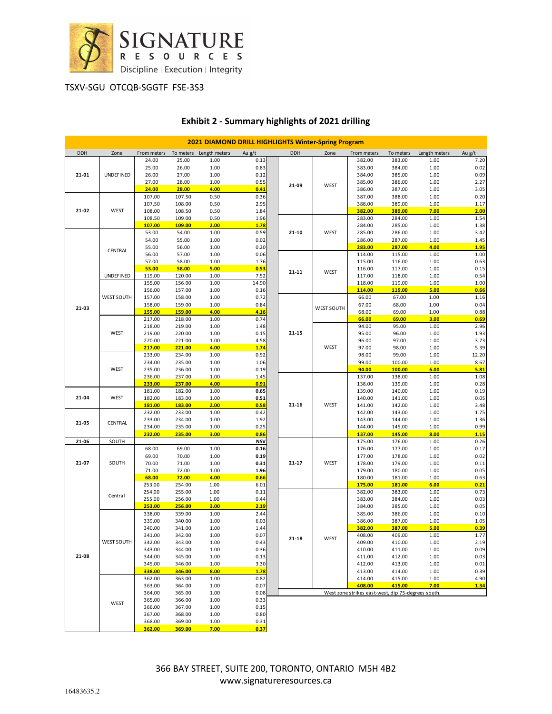

| <b>2021 DIAMOND DRILL HIGHLIGHTS Winter-Spring Program</b> |                   |                  |                  |                                     |               |           |                   |                                                    |                  |               |              |
|------------------------------------------------------------|-------------------|------------------|------------------|-------------------------------------|---------------|-----------|-------------------|----------------------------------------------------|------------------|---------------|--------------|
| DDH                                                        | Zone              |                  |                  | From meters To meters Length meters | Au g/t        | DDH       | Zone              | From meters                                        | To meters        | Length meters | Au g/t       |
|                                                            |                   | 24.00            | 25.00            | 1.00                                | 0.13          |           |                   | 382.00                                             | 383.00           | 1.00          | 7.20         |
|                                                            |                   | 25.00            | 26.00            | 1.00                                | 0.83          |           |                   | 383.00                                             | 384.00           | 1.00          | 0.02         |
| 21-01<br>UNDEFINED                                         |                   | 26.00<br>27.00   | 27.00<br>28.00   | 1.00<br>1.00                        | 0.12<br>0.55  |           |                   | 384.00<br>385.00                                   | 385.00<br>386.00 | 1.00<br>1.00  | 0.09<br>2.27 |
|                                                            |                   | 24.00            | 28.00            | 4.00                                | 0.41          | 21-09     | WEST              | 386.00                                             | 387.00           | 1.00          | 3.05         |
| $21 - 02$<br><b>WEST</b>                                   |                   | 107.00           | 107.50           | 0.50                                | 0.36          |           |                   | 387.00                                             | 388.00           | 1.00          | 0.20         |
|                                                            |                   | 107.50           | 108.00           | 0.50                                | 2.95          |           |                   | 388.00                                             | 389.00           | 1.00          | 1.17         |
|                                                            |                   | 108.00           | 108.50           | 0.50                                | 1.84          |           |                   | 382.00                                             | 389.00           | 7.00          | 2.00         |
|                                                            |                   | 108.50           | 109.00           | 0.50                                | 1.96          |           | WEST              | 283.00                                             | 284.00           | 1.00          | 1.54         |
|                                                            |                   | 107.00<br>53.00  | 109.00<br>54.00  | 2.00<br>1.00                        | 1.78<br>0.59  | 21-10     |                   | 284.00<br>285.00                                   | 285.00<br>286.00 | 1.00<br>1.00  | 1.38<br>3.42 |
|                                                            | CENTRAL           | 54.00            | 55.00            | 1.00                                | 0.02          |           |                   | 286.00                                             | 287.00           | 1.00          | 1.45         |
|                                                            |                   | 55.00            | 56.00            | 1.00                                | 0.20          |           |                   | 283.00                                             | 287.00           | 4.00          | 1.95         |
|                                                            |                   | 56.00            | 57.00            | 1.00                                | 0.06          |           |                   | 114.00                                             | 115.00           | 1.00          | 1.00         |
|                                                            |                   | 57.00            | 58.00            | 1.00                                | 1.76          |           |                   | 115.00                                             | 116.00           | 1.00          | 0.63         |
|                                                            |                   | 53.00            | 58.00            | 5.00                                | 0.53          | $21 - 11$ | WEST              | 116.00                                             | 117.00           | 1.00          | 0.15         |
|                                                            | <b>UNDEFINED</b>  | 119.00<br>155.00 | 120.00<br>156.00 | 1.00<br>1.00                        | 7.52<br>14.90 |           |                   | 117.00<br>118.00                                   | 118.00<br>119.00 | 1.00<br>1.00  | 0.54<br>1.00 |
|                                                            |                   | 156.00           | 157.00           | 1.00                                | 0.16          |           |                   | 114.00                                             | 119.00           | 5.00          | 0.66         |
|                                                            | <b>WEST SOUTH</b> | 157.00           | 158.00           | 1.00                                | 0.72          |           |                   | 66.00                                              | 67.00            | 1.00          | 1.16         |
| 21-03                                                      |                   | 158.00           | 159.00           | 1.00                                | 0.84          |           | <b>WEST SOUTH</b> | 67.00                                              | 68.00            | 1.00          | 0.04         |
|                                                            |                   | 155.00           | 159.00           | 4.00                                | 4.16          |           |                   | 68.00                                              | 69.00            | 1.00          | 0.88         |
|                                                            |                   | 217.00           | 218.00           | 1.00                                | 0.74          |           |                   | 66.00                                              | 69.00            | 3.00          | 0.69         |
|                                                            | WEST              | 218.00<br>219.00 | 219.00<br>220.00 | 1.00<br>1.00                        | 1.48<br>0.15  | 21-15     |                   | 94.00<br>95.00                                     | 95.00<br>96.00   | 1.00<br>1.00  | 2.96<br>1.93 |
|                                                            |                   | 220.00           | 221.00           | 1.00                                | 4.58          |           |                   | 96.00                                              | 97.00            | 1.00          | 3.73         |
|                                                            |                   | 217.00           | 221.00           | 4.00                                | <u>1.74</u>   |           | WEST              | 97.00                                              | 98.00            | 1.00          | 5.39         |
|                                                            |                   | 233.00           | 234.00           | 1.00                                | 0.92          |           |                   | 98.00                                              | 99.00            | 1.00          | 12.20        |
|                                                            |                   | 234.00           | 235.00           | 1.00                                | 1.06          |           |                   | 99.00                                              | 100.00           | 1.00          | 8.67         |
|                                                            | WEST              | 235.00           | 236.00           | 1.00                                | 0.19          |           |                   | 94.00                                              | 100.00           | 6.00          | 5.81         |
|                                                            |                   | 236.00<br>233.00 | 237.00<br>237.00 | 1.00<br>4.00                        | 1.45<br>0.91  |           |                   | 137.00<br>138.00                                   | 138.00<br>139.00 | 1.00<br>1.00  | 1.08<br>0.28 |
|                                                            |                   | 181.00           | 182.00           | 1.00                                | 0.65          |           |                   | 139.00                                             | 140.00           | 1.00          | 0.19         |
| 21-04                                                      | WEST              | 182.00           | 183.00           | 1.00                                | 0.51          |           |                   | 140.00                                             | 141.00           | 1.00          | 0.05         |
|                                                            |                   | 181.00           | 183.00           | 2.00                                | 0.58          | 21-16     | WEST              | 141.00                                             | 142.00           | 1.00          | 3.48         |
|                                                            |                   | 232.00           | 233.00           | 1.00                                | 0.42          |           |                   | 142.00                                             | 143.00           | 1.00          | 1.75         |
| 21-05                                                      | CENTRAL           | 233.00           | 234.00           | 1.00                                | 1.92<br>0.25  |           |                   | 143.00                                             | 144.00           | 1.00          | 1.36<br>0.99 |
|                                                            |                   | 234.00<br>232.00 | 235.00<br>235.00 | 1.00<br>3.00                        | 0.86          |           |                   | 144.00<br>137.00                                   | 145.00<br>145.00 | 1.00<br>8.00  | 1.15         |
| 21-06                                                      | SOUTH             |                  |                  |                                     | <b>NSV</b>    |           |                   | 175.00                                             | 176.00           | 1.00          | 0.26         |
| 21-07                                                      |                   | 68.00            | 69.00            | 1.00                                | 0.16          |           |                   | 176.00                                             | 177.00           | 1.00          | 0.17         |
|                                                            | SOUTH             | 69.00            | 70.00            | 1.00                                | 0.19          |           | WEST              | 177.00                                             | 178.00           | 1.00          | 0.02         |
|                                                            |                   | 70.00            | 71.00            | 1.00                                | 0.31          | 21-17     |                   | 178.00                                             | 179.00           | 1.00          | 0.11         |
|                                                            |                   | 71.00            | 72.00            | 1.00                                | 1.96          |           |                   | 179.00                                             | 180.00           | 1.00          | 0.05         |
|                                                            |                   | 68.00<br>253.00  | 72.00<br>254.00  | 4.00<br>1.00                        | 0.66<br>6.01  |           |                   | 180.00<br>175.00                                   | 181.00<br>181.00 | 1.00<br>6.00  | 0.63<br>0.21 |
| Central<br>21-08                                           |                   | 254.00           | 255.00           | 1.00                                | 0.11          | $21 - 18$ |                   | 382.00                                             | 383.00           | 1.00          | 0.73         |
|                                                            |                   | 255.00           | 256.00           | 1.00                                | 0.44          |           |                   | 383.00                                             | 384.00           | 1.00          | 0.03         |
|                                                            |                   | 253.00           | 256.00           | <b>3.00</b>                         | 2.19          |           |                   | 384.00                                             | 385.00           | 1.00          | 0.05         |
|                                                            | WEST SOUTH        | 338.00           | 339.00           | 1.00                                | 2.44          |           |                   | 385.00                                             | 386.00           | 1.00          | 0.10         |
|                                                            |                   | 339.00           | 340.00           | 1.00                                | 6.03          |           |                   | 386.00                                             | 387.00           | 1.00          | 1.05         |
|                                                            |                   | 340.00<br>341.00 | 341.00<br>342.00 | 1.00<br>1.00                        | 1.44<br>0.07  |           |                   | 382.00<br>408.00                                   | 387.00<br>409.00 | 5.00<br>1.00  | 0.39<br>1.77 |
|                                                            |                   | 342.00           | 343.00           | 1.00                                | 0.43          |           | WEST              | 409.00                                             | 410.00           | 1.00          | 2.19         |
|                                                            |                   | 343.00           | 344.00           | 1.00                                | 0.36          |           |                   | 410.00                                             | 411.00           | 1.00          | 0.09         |
|                                                            |                   | 344.00           | 345.00           | 1.00                                | 0.13          |           |                   | 411.00                                             | 412.00           | 1.00          | 0.03         |
|                                                            |                   | 345.00           | 346.00           | 1.00                                | 3.30          |           |                   | 412.00                                             | 413.00           | 1.00          | 0.01         |
|                                                            |                   | 338.00<br>362.00 | 346.00           | 8.00                                | 1.78          |           |                   | 413.00                                             | 414.00           | 1.00          | 0.39         |
|                                                            | WEST              | 363.00           | 363.00<br>364.00 | 1.00<br>1.00                        | 0.82<br>0.07  |           |                   | 414.00<br>408.00                                   | 415.00<br>415.00 | 1.00<br>7.00  | 4.90<br>1.34 |
|                                                            |                   | 364.00           | 365.00           | 1.00                                | 0.08          |           |                   | West zone strikes east-west, dip 75-degrees south. |                  |               |              |
|                                                            |                   | 365.00           | 366.00           | 1.00                                | 0.33          |           |                   |                                                    |                  |               |              |
|                                                            |                   | 366.00           | 367.00           | 1.00                                | 0.15          |           |                   |                                                    |                  |               |              |
|                                                            |                   | 367.00           | 368.00           | 1.00                                | 0.80          |           |                   |                                                    |                  |               |              |
|                                                            |                   | 368.00           | 369.00           | 1.00                                | 0.31          |           |                   |                                                    |                  |               |              |
|                                                            |                   | 362.00           | 369.00           | 7.00                                | 0.37          |           |                   |                                                    |                  |               |              |

# **Exhibit 2 - Summary highlights of 2021 drilling**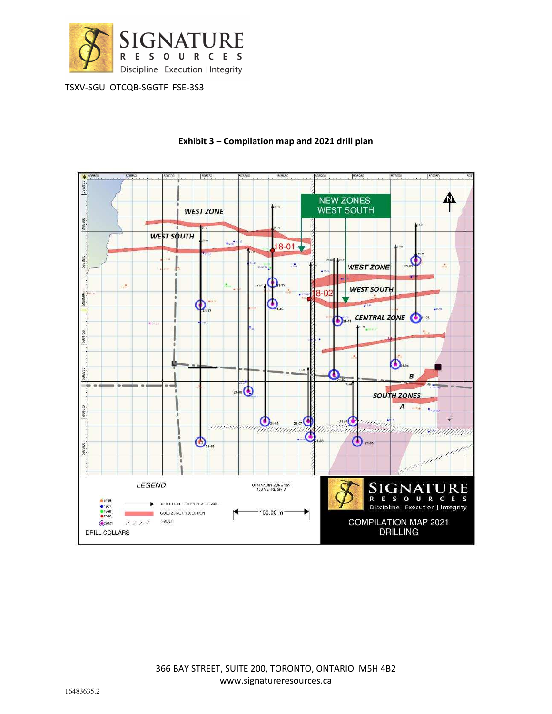



### **Exhibit 3 – Compilation map and 2021 drill plan**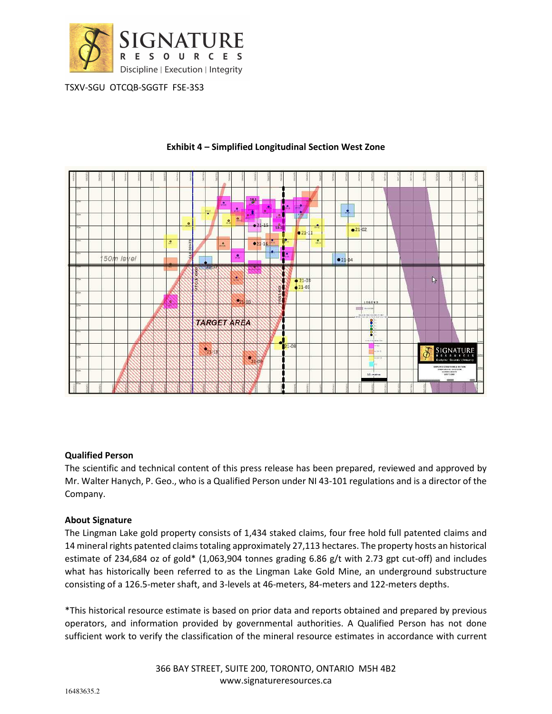



#### **Exhibit 4 – Simplified Longitudinal Section West Zone**

#### **Qualified Person**

The scientific and technical content of this press release has been prepared, reviewed and approved by Mr. Walter Hanych, P. Geo., who is a Qualified Person under NI 43-101 regulations and is a director of the Company.

# **About Signature**

The Lingman Lake gold property consists of 1,434 staked claims, four free hold full patented claims and 14 mineral rights patented claims totaling approximately 27,113 hectares. The property hosts an historical estimate of 234,684 oz of gold\* (1,063,904 tonnes grading 6.86 g/t with 2.73 gpt cut-off) and includes what has historically been referred to as the Lingman Lake Gold Mine, an underground substructure consisting of a 126.5-meter shaft, and 3-levels at 46-meters, 84-meters and 122-meters depths.

\*This historical resource estimate is based on prior data and reports obtained and prepared by previous operators, and information provided by governmental authorities. A Qualified Person has not done sufficient work to verify the classification of the mineral resource estimates in accordance with current